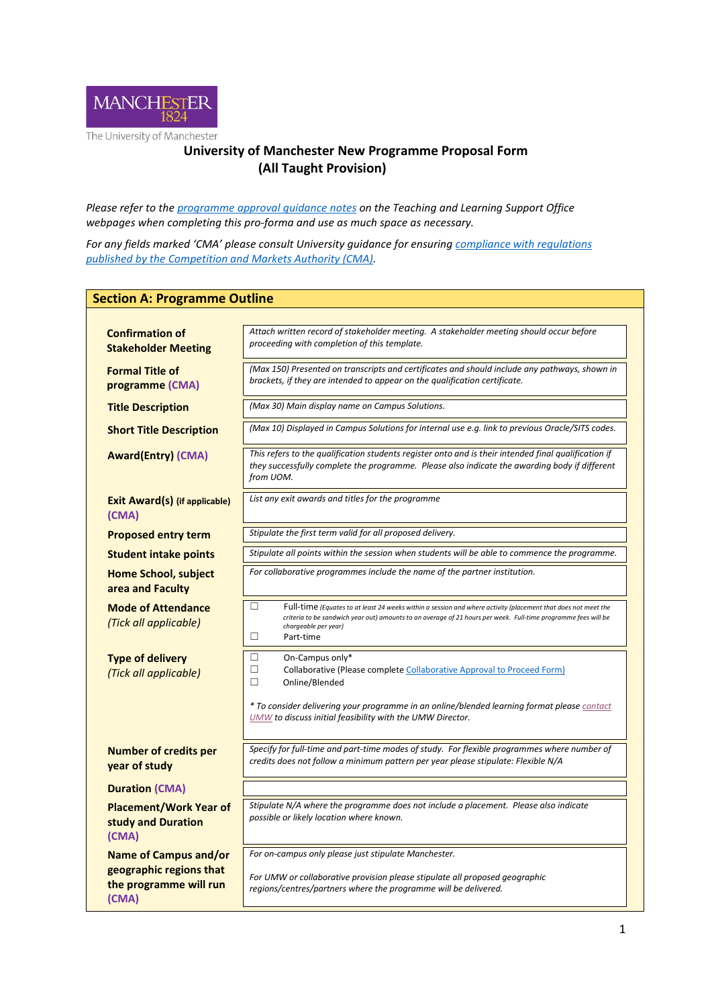

## **University of Manchester New Programme Proposal Form (All Taught Provision)**

*Please refer to th[e programme approval guidance notes](http://www.staffnet.manchester.ac.uk/tlso/quality/development-programmes/new-programme-approval/) on the Teaching and Learning Support Office webpages when completing this pro-forma and use as much space as necessary.*

*For any fields marked 'CMA' please consult University guidance for ensuring [compliance with regulations](http://www.staffnet.manchester.ac.uk/tlso/quality/development-programmes/cma/)  [published by the Competition and Markets Authority \(CMA\).](http://www.staffnet.manchester.ac.uk/tlso/quality/development-programmes/cma/)* 

| <b>Section A: Programme Outline</b>                                                 |                                                                                                                                                                                                                                                                                                                                                                       |  |  |  |  |  |  |
|-------------------------------------------------------------------------------------|-----------------------------------------------------------------------------------------------------------------------------------------------------------------------------------------------------------------------------------------------------------------------------------------------------------------------------------------------------------------------|--|--|--|--|--|--|
|                                                                                     |                                                                                                                                                                                                                                                                                                                                                                       |  |  |  |  |  |  |
| <b>Confirmation of</b><br><b>Stakeholder Meeting</b>                                | Attach written record of stakeholder meeting. A stakeholder meeting should occur before<br>proceeding with completion of this template.                                                                                                                                                                                                                               |  |  |  |  |  |  |
| <b>Formal Title of</b><br>programme (CMA)                                           | (Max 150) Presented on transcripts and certificates and should include any pathways, shown in<br>brackets, if they are intended to appear on the qualification certificate.                                                                                                                                                                                           |  |  |  |  |  |  |
| <b>Title Description</b>                                                            | (Max 30) Main display name on Campus Solutions.                                                                                                                                                                                                                                                                                                                       |  |  |  |  |  |  |
| <b>Short Title Description</b>                                                      | (Max 10) Displayed in Campus Solutions for internal use e.g. link to previous Oracle/SITS codes.                                                                                                                                                                                                                                                                      |  |  |  |  |  |  |
| <b>Award(Entry) (CMA)</b>                                                           | This refers to the qualification students register onto and is their intended final qualification if<br>they successfully complete the programme. Please also indicate the awarding body if different<br>from UOM.                                                                                                                                                    |  |  |  |  |  |  |
| <b>Exit Award(s) (if applicable)</b><br>(CMA)                                       | List any exit awards and titles for the programme                                                                                                                                                                                                                                                                                                                     |  |  |  |  |  |  |
| <b>Proposed entry term</b>                                                          | Stipulate the first term valid for all proposed delivery.                                                                                                                                                                                                                                                                                                             |  |  |  |  |  |  |
| <b>Student intake points</b>                                                        | Stipulate all points within the session when students will be able to commence the programme.                                                                                                                                                                                                                                                                         |  |  |  |  |  |  |
| <b>Home School, subject</b><br>area and Faculty                                     | For collaborative programmes include the name of the partner institution.<br>$\Box$<br>Full-time (Equates to at least 24 weeks within a session and where activity (placement that does not meet the<br>criteria to be sandwich year out) amounts to an average of 21 hours per week. Full-time programme fees will be<br>chargeable per year)<br>$\Box$<br>Part-time |  |  |  |  |  |  |
| <b>Mode of Attendance</b><br>(Tick all applicable)                                  |                                                                                                                                                                                                                                                                                                                                                                       |  |  |  |  |  |  |
| <b>Type of delivery</b><br>(Tick all applicable)                                    | □<br>On-Campus only*<br>$\Box$<br>Collaborative (Please complete Collaborative Approval to Proceed Form)<br>$\Box$<br>Online/Blended                                                                                                                                                                                                                                  |  |  |  |  |  |  |
|                                                                                     | * To consider delivering your programme in an online/blended learning format please contact<br><b>UMW</b> to discuss initial feasibility with the UMW Director.                                                                                                                                                                                                       |  |  |  |  |  |  |
| <b>Number of credits per</b><br>year of study                                       | Specify for full-time and part-time modes of study. For flexible programmes where number of<br>credits does not follow a minimum pattern per year please stipulate: Flexible N/A                                                                                                                                                                                      |  |  |  |  |  |  |
| <b>Duration (CMA)</b>                                                               |                                                                                                                                                                                                                                                                                                                                                                       |  |  |  |  |  |  |
| <b>Placement/Work Year of</b><br>study and Duration<br>(CMA)                        | Stipulate N/A where the programme does not include a placement. Please also indicate<br>possible or likely location where known.                                                                                                                                                                                                                                      |  |  |  |  |  |  |
| Name of Campus and/or<br>geographic regions that<br>the programme will run<br>(CMA) | For on-campus only please just stipulate Manchester.<br>For UMW or collaborative provision please stipulate all proposed geographic<br>regions/centres/partners where the programme will be delivered.                                                                                                                                                                |  |  |  |  |  |  |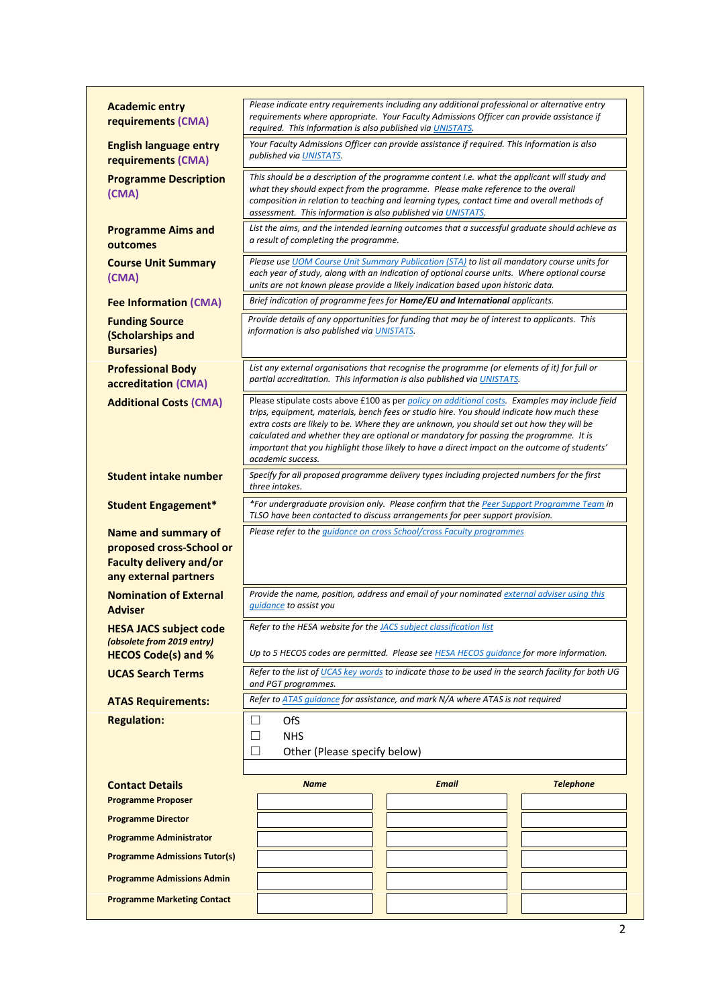| <b>Academic entry</b><br>requirements (CMA)                                                                       | Please indicate entry requirements including any additional professional or alternative entry<br>requirements where appropriate. Your Faculty Admissions Officer can provide assistance if<br>required. This information is also published via UNISTATS.                                                                                                                                                                                                                                                   |                                                                                                                                                                                                                                                                                 |                  |  |  |  |
|-------------------------------------------------------------------------------------------------------------------|------------------------------------------------------------------------------------------------------------------------------------------------------------------------------------------------------------------------------------------------------------------------------------------------------------------------------------------------------------------------------------------------------------------------------------------------------------------------------------------------------------|---------------------------------------------------------------------------------------------------------------------------------------------------------------------------------------------------------------------------------------------------------------------------------|------------------|--|--|--|
| <b>English language entry</b><br>requirements (CMA)                                                               | Your Faculty Admissions Officer can provide assistance if required. This information is also<br>published via UNISTATS.                                                                                                                                                                                                                                                                                                                                                                                    |                                                                                                                                                                                                                                                                                 |                  |  |  |  |
| <b>Programme Description</b><br>(CMA)                                                                             | This should be a description of the programme content i.e. what the applicant will study and<br>what they should expect from the programme. Please make reference to the overall<br>composition in relation to teaching and learning types, contact time and overall methods of<br>assessment. This information is also published via UNISTATS.                                                                                                                                                            |                                                                                                                                                                                                                                                                                 |                  |  |  |  |
| <b>Programme Aims and</b><br>outcomes                                                                             | List the aims, and the intended learning outcomes that a successful graduate should achieve as<br>a result of completing the programme.                                                                                                                                                                                                                                                                                                                                                                    |                                                                                                                                                                                                                                                                                 |                  |  |  |  |
| <b>Course Unit Summary</b><br>(CMA)                                                                               |                                                                                                                                                                                                                                                                                                                                                                                                                                                                                                            | Please use UOM Course Unit Summary Publication (STA) to list all mandatory course units for<br>each year of study, along with an indication of optional course units. Where optional course<br>units are not known please provide a likely indication based upon historic data. |                  |  |  |  |
| <b>Fee Information (CMA)</b>                                                                                      |                                                                                                                                                                                                                                                                                                                                                                                                                                                                                                            | Brief indication of programme fees for Home/EU and International applicants.                                                                                                                                                                                                    |                  |  |  |  |
| <b>Funding Source</b><br>(Scholarships and<br><b>Bursaries</b> )                                                  | information is also published via UNISTATS.                                                                                                                                                                                                                                                                                                                                                                                                                                                                | Provide details of any opportunities for funding that may be of interest to applicants. This                                                                                                                                                                                    |                  |  |  |  |
| <b>Professional Body</b><br>accreditation (CMA)                                                                   |                                                                                                                                                                                                                                                                                                                                                                                                                                                                                                            | List any external organisations that recognise the programme (or elements of it) for full or<br>partial accreditation. This information is also published via UNISTATS.                                                                                                         |                  |  |  |  |
| <b>Additional Costs (CMA)</b>                                                                                     | Please stipulate costs above £100 as per policy on additional costs. Examples may include field<br>trips, equipment, materials, bench fees or studio hire. You should indicate how much these<br>extra costs are likely to be. Where they are unknown, you should set out how they will be<br>calculated and whether they are optional or mandatory for passing the programme. It is<br>important that you highlight those likely to have a direct impact on the outcome of students'<br>academic success. |                                                                                                                                                                                                                                                                                 |                  |  |  |  |
| <b>Student intake number</b>                                                                                      | three intakes.                                                                                                                                                                                                                                                                                                                                                                                                                                                                                             | Specify for all proposed programme delivery types including projected numbers for the first                                                                                                                                                                                     |                  |  |  |  |
| <b>Student Engagement*</b>                                                                                        |                                                                                                                                                                                                                                                                                                                                                                                                                                                                                                            | *For undergraduate provision only. Please confirm that the Peer Support Programme Team in<br>TLSO have been contacted to discuss arrangements for peer support provision.                                                                                                       |                  |  |  |  |
| <b>Name and summary of</b><br>proposed cross-School or<br><b>Faculty delivery and/or</b><br>any external partners |                                                                                                                                                                                                                                                                                                                                                                                                                                                                                                            | Please refer to the <i>guidance on cross School/cross Faculty programmes</i>                                                                                                                                                                                                    |                  |  |  |  |
| <b>Nomination of External</b><br><b>Adviser</b>                                                                   | <i>guidance</i> to assist you                                                                                                                                                                                                                                                                                                                                                                                                                                                                              | Provide the name, position, address and email of your nominated external adviser using this                                                                                                                                                                                     |                  |  |  |  |
| <b>HESA JACS subject code</b><br>(obsolete from 2019 entry)                                                       | Refer to the HESA website for the JACS subject classification list                                                                                                                                                                                                                                                                                                                                                                                                                                         |                                                                                                                                                                                                                                                                                 |                  |  |  |  |
| <b>HECOS Code(s) and %</b>                                                                                        |                                                                                                                                                                                                                                                                                                                                                                                                                                                                                                            | Up to 5 HECOS codes are permitted. Please see HESA HECOS quidance for more information.                                                                                                                                                                                         |                  |  |  |  |
| <b>UCAS Search Terms</b>                                                                                          | and PGT programmes.                                                                                                                                                                                                                                                                                                                                                                                                                                                                                        | Refer to the list of UCAS key words to indicate those to be used in the search facility for both UG                                                                                                                                                                             |                  |  |  |  |
| <b>ATAS Requirements:</b>                                                                                         |                                                                                                                                                                                                                                                                                                                                                                                                                                                                                                            | Refer to ATAS quidance for assistance, and mark N/A where ATAS is not required                                                                                                                                                                                                  |                  |  |  |  |
| <b>Regulation:</b>                                                                                                | OfS<br>$\Box$<br>$\Box$<br><b>NHS</b><br>Other (Please specify below)<br>$\mathcal{L}$                                                                                                                                                                                                                                                                                                                                                                                                                     |                                                                                                                                                                                                                                                                                 |                  |  |  |  |
| <b>Contact Details</b>                                                                                            | <b>Name</b>                                                                                                                                                                                                                                                                                                                                                                                                                                                                                                | <b>Email</b>                                                                                                                                                                                                                                                                    | <b>Telephone</b> |  |  |  |
| <b>Programme Proposer</b>                                                                                         |                                                                                                                                                                                                                                                                                                                                                                                                                                                                                                            |                                                                                                                                                                                                                                                                                 |                  |  |  |  |
| <b>Programme Director</b>                                                                                         |                                                                                                                                                                                                                                                                                                                                                                                                                                                                                                            |                                                                                                                                                                                                                                                                                 |                  |  |  |  |
| <b>Programme Administrator</b>                                                                                    |                                                                                                                                                                                                                                                                                                                                                                                                                                                                                                            |                                                                                                                                                                                                                                                                                 |                  |  |  |  |
| <b>Programme Admissions Tutor(s)</b>                                                                              |                                                                                                                                                                                                                                                                                                                                                                                                                                                                                                            |                                                                                                                                                                                                                                                                                 |                  |  |  |  |
| <b>Programme Admissions Admin</b>                                                                                 |                                                                                                                                                                                                                                                                                                                                                                                                                                                                                                            |                                                                                                                                                                                                                                                                                 |                  |  |  |  |
| <b>Programme Marketing Contact</b>                                                                                |                                                                                                                                                                                                                                                                                                                                                                                                                                                                                                            |                                                                                                                                                                                                                                                                                 |                  |  |  |  |
|                                                                                                                   |                                                                                                                                                                                                                                                                                                                                                                                                                                                                                                            |                                                                                                                                                                                                                                                                                 |                  |  |  |  |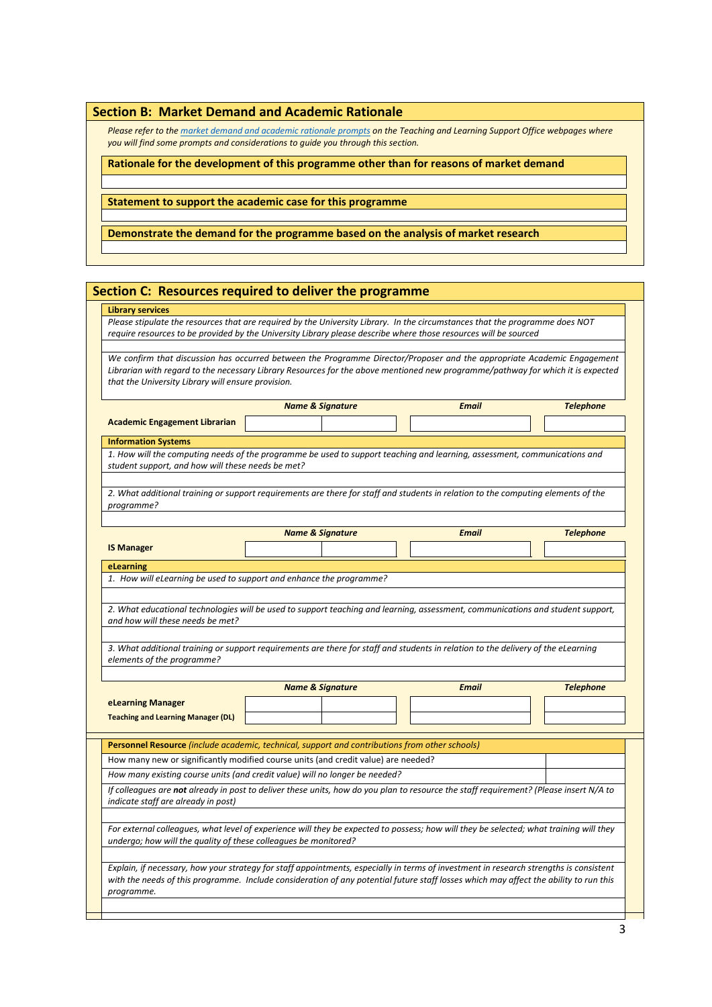|  |  |  |  | <b>Section B: Market Demand and Academic Rationale</b> |  |
|--|--|--|--|--------------------------------------------------------|--|
|--|--|--|--|--------------------------------------------------------|--|

*Please refer to th[e market demand and academic rationale prompts](http://www.staffnet.manchester.ac.uk/tlso/quality/development-programmes/new-programme-approval/sections-a-f-documentation/) on the Teaching and Learning Support Office webpages where you will find some prompts and considerations to guide you through this section.*

**Rationale for the development of this programme other than for reasons of market demand**

**Statement to support the academic case for this programme**

**Demonstrate the demand for the programme based on the analysis of market research**

## **Section C: Resources required to deliver the programme**

## **Library services**

*Please stipulate the resources that are required by the University Library. In the circumstances that the programme does NOT require resources to be provided by the University Library please describe where those resources will be sourced*

*We confirm that discussion has occurred between the Programme Director/Proposer and the appropriate Academic Engagement Librarian with regard to the necessary Library Resources for the above mentioned new programme/pathway for which it is expected that the University Library will ensure provision.*

|                                                                 | <b>Name &amp; Signature</b>                                                                                                                                                                                                                                                     | <b>Email</b> | <b>Telephone</b> |  |  |  |
|-----------------------------------------------------------------|---------------------------------------------------------------------------------------------------------------------------------------------------------------------------------------------------------------------------------------------------------------------------------|--------------|------------------|--|--|--|
| <b>Academic Engagement Librarian</b>                            |                                                                                                                                                                                                                                                                                 |              |                  |  |  |  |
| <b>Information Systems</b>                                      |                                                                                                                                                                                                                                                                                 |              |                  |  |  |  |
| student support, and how will these needs be met?               | 1. How will the computing needs of the programme be used to support teaching and learning, assessment, communications and                                                                                                                                                       |              |                  |  |  |  |
|                                                                 |                                                                                                                                                                                                                                                                                 |              |                  |  |  |  |
|                                                                 | 2. What additional training or support requirements are there for staff and students in relation to the computing elements of the                                                                                                                                               |              |                  |  |  |  |
| programme?                                                      |                                                                                                                                                                                                                                                                                 |              |                  |  |  |  |
|                                                                 | <b>Name &amp; Signature</b>                                                                                                                                                                                                                                                     | <b>Email</b> | <b>Telephone</b> |  |  |  |
| <b>IS Manager</b>                                               |                                                                                                                                                                                                                                                                                 |              |                  |  |  |  |
| eLearning                                                       |                                                                                                                                                                                                                                                                                 |              |                  |  |  |  |
|                                                                 | 1. How will eLearning be used to support and enhance the programme?                                                                                                                                                                                                             |              |                  |  |  |  |
|                                                                 |                                                                                                                                                                                                                                                                                 |              |                  |  |  |  |
|                                                                 | 2. What educational technologies will be used to support teaching and learning, assessment, communications and student support,                                                                                                                                                 |              |                  |  |  |  |
| and how will these needs be met?                                |                                                                                                                                                                                                                                                                                 |              |                  |  |  |  |
|                                                                 |                                                                                                                                                                                                                                                                                 |              |                  |  |  |  |
| elements of the programme?                                      | 3. What additional training or support requirements are there for staff and students in relation to the delivery of the eLearning                                                                                                                                               |              |                  |  |  |  |
|                                                                 |                                                                                                                                                                                                                                                                                 |              |                  |  |  |  |
| <b>Email</b>                                                    |                                                                                                                                                                                                                                                                                 |              |                  |  |  |  |
|                                                                 | <b>Name &amp; Signature</b>                                                                                                                                                                                                                                                     |              | <b>Telephone</b> |  |  |  |
| eLearning Manager                                               |                                                                                                                                                                                                                                                                                 |              |                  |  |  |  |
| <b>Teaching and Learning Manager (DL)</b>                       |                                                                                                                                                                                                                                                                                 |              |                  |  |  |  |
|                                                                 |                                                                                                                                                                                                                                                                                 |              |                  |  |  |  |
|                                                                 | Personnel Resource (include academic, technical, support and contributions from other schools)                                                                                                                                                                                  |              |                  |  |  |  |
|                                                                 | How many new or significantly modified course units (and credit value) are needed?                                                                                                                                                                                              |              |                  |  |  |  |
|                                                                 | How many existing course units (and credit value) will no longer be needed?                                                                                                                                                                                                     |              |                  |  |  |  |
|                                                                 | If colleagues are not already in post to deliver these units, how do you plan to resource the staff requirement? (Please insert N/A to                                                                                                                                          |              |                  |  |  |  |
|                                                                 |                                                                                                                                                                                                                                                                                 |              |                  |  |  |  |
|                                                                 |                                                                                                                                                                                                                                                                                 |              |                  |  |  |  |
| indicate staff are already in post)                             | For external colleagues, what level of experience will they be expected to possess; how will they be selected; what training will they                                                                                                                                          |              |                  |  |  |  |
| undergo; how will the quality of these colleagues be monitored? |                                                                                                                                                                                                                                                                                 |              |                  |  |  |  |
|                                                                 |                                                                                                                                                                                                                                                                                 |              |                  |  |  |  |
|                                                                 | Explain, if necessary, how your strategy for staff appointments, especially in terms of investment in research strengths is consistent<br>with the needs of this programme. Include consideration of any potential future staff losses which may affect the ability to run this |              |                  |  |  |  |
| programme.                                                      |                                                                                                                                                                                                                                                                                 |              |                  |  |  |  |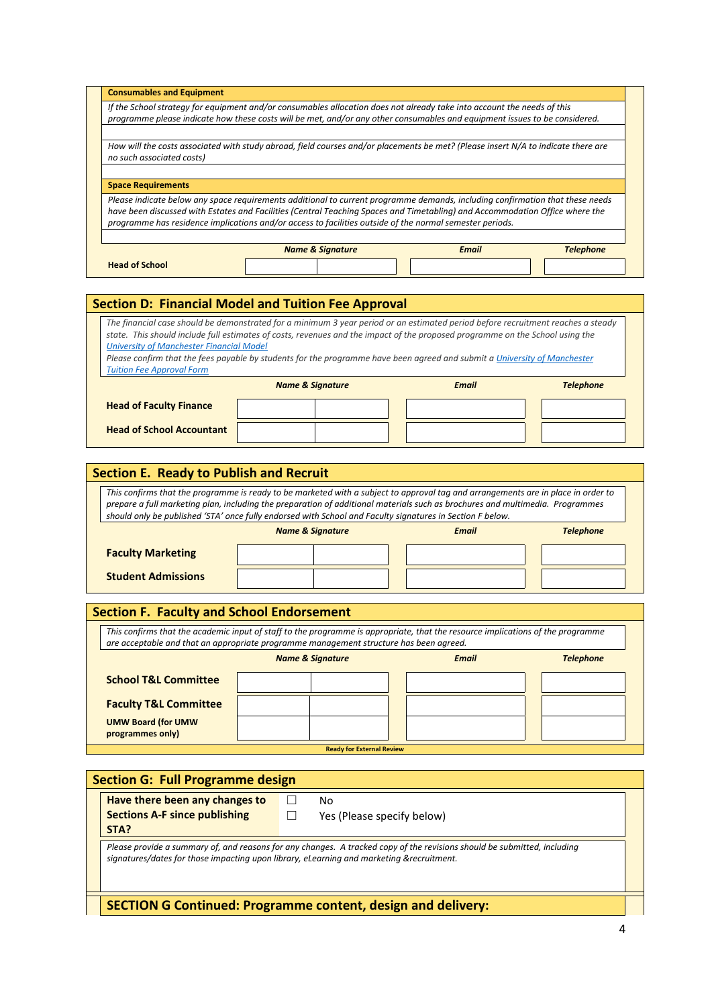| <b>Consumables and Equipment</b>                                                                                           |                                                                                                                                   |              |           |  |  |  |  |
|----------------------------------------------------------------------------------------------------------------------------|-----------------------------------------------------------------------------------------------------------------------------------|--------------|-----------|--|--|--|--|
| If the School strategy for equipment and/or consumables allocation does not already take into account the needs of this    |                                                                                                                                   |              |           |  |  |  |  |
| programme please indicate how these costs will be met, and/or any other consumables and equipment issues to be considered. |                                                                                                                                   |              |           |  |  |  |  |
| no such associated costs)                                                                                                  | How will the costs associated with study abroad, field courses and/or placements be met? (Please insert N/A to indicate there are |              |           |  |  |  |  |
|                                                                                                                            |                                                                                                                                   |              |           |  |  |  |  |
|                                                                                                                            |                                                                                                                                   |              |           |  |  |  |  |
| <b>Space Requirements</b>                                                                                                  |                                                                                                                                   |              |           |  |  |  |  |
|                                                                                                                            | Please indicate below any space requirements additional to current programme demands, including confirmation that these needs     |              |           |  |  |  |  |
|                                                                                                                            | have been discussed with Estates and Facilities (Central Teaching Spaces and Timetabling) and Accommodation Office where the      |              |           |  |  |  |  |
|                                                                                                                            | programme has residence implications and/or access to facilities outside of the normal semester periods.                          |              |           |  |  |  |  |
|                                                                                                                            |                                                                                                                                   |              |           |  |  |  |  |
|                                                                                                                            | <b>Name &amp; Signature</b>                                                                                                       | <b>Email</b> | Telephone |  |  |  |  |
|                                                                                                                            |                                                                                                                                   |              |           |  |  |  |  |
| <b>Head of School</b>                                                                                                      |                                                                                                                                   |              |           |  |  |  |  |

## **Section D: Financial Model and Tuition Fee Approval**

*The financial case should be demonstrated for a minimum 3 year period or an estimated period before recruitment reaches a steady state. This should include full estimates of costs, revenues and the impact of the proposed programme on the School using the [University of Manchester Financial Model](http://documents.manchester.ac.uk/DocuInfo.aspx?DocID=10046)*

*Please confirm that the fees payable by students for the programme have been agreed and submit a University of Manchester [Tuition Fee Approval Form](http://documents.manchester.ac.uk/DocuInfo.aspx?DocID=10057)*

|                                  | <b>Name &amp; Signature</b> | <b>Email</b> | <b>Telephone</b> |  |
|----------------------------------|-----------------------------|--------------|------------------|--|
| <b>Head of Faculty Finance</b>   |                             |              |                  |  |
| <b>Head of School Accountant</b> |                             |              |                  |  |

| <b>Section E. Ready to Publish and Recruit</b>                                                                                                                                                                                                                                                                                                                                  |  |  |  |  |  |  |  |
|---------------------------------------------------------------------------------------------------------------------------------------------------------------------------------------------------------------------------------------------------------------------------------------------------------------------------------------------------------------------------------|--|--|--|--|--|--|--|
| This confirms that the programme is ready to be marketed with a subject to approval tag and arrangements are in place in order to<br>prepare a full marketing plan, including the preparation of additional materials such as brochures and multimedia. Programmes<br>should only be published 'STA' once fully endorsed with School and Faculty signatures in Section F below. |  |  |  |  |  |  |  |
| <b>Name &amp; Signature</b><br>Telephone<br><b>Email</b>                                                                                                                                                                                                                                                                                                                        |  |  |  |  |  |  |  |
| <b>Faculty Marketing</b>                                                                                                                                                                                                                                                                                                                                                        |  |  |  |  |  |  |  |
| <b>Student Admissions</b>                                                                                                                                                                                                                                                                                                                                                       |  |  |  |  |  |  |  |

| <b>Section F. Faculty and School Endorsement</b>                                                                                                                                                                          |                                                                 |  |  |  |  |  |  |  |
|---------------------------------------------------------------------------------------------------------------------------------------------------------------------------------------------------------------------------|-----------------------------------------------------------------|--|--|--|--|--|--|--|
| This confirms that the academic input of staff to the programme is appropriate, that the resource implications of the programme<br>are acceptable and that an appropriate programme management structure has been agreed. |                                                                 |  |  |  |  |  |  |  |
|                                                                                                                                                                                                                           | <b>Name &amp; Signature</b><br><b>Telephone</b><br><b>Email</b> |  |  |  |  |  |  |  |
| <b>School T&amp;L Committee</b>                                                                                                                                                                                           |                                                                 |  |  |  |  |  |  |  |
| <b>Faculty T&amp;L Committee</b>                                                                                                                                                                                          |                                                                 |  |  |  |  |  |  |  |
| <b>UMW Board (for UMW)</b><br>programmes only)                                                                                                                                                                            |                                                                 |  |  |  |  |  |  |  |
|                                                                                                                                                                                                                           | <b>Ready for External Review</b>                                |  |  |  |  |  |  |  |

|                                                                                                                                                                                                                      | <b>Section G: Full Programme design</b> |  |                                                                     |  |  |  |  |
|----------------------------------------------------------------------------------------------------------------------------------------------------------------------------------------------------------------------|-----------------------------------------|--|---------------------------------------------------------------------|--|--|--|--|
|                                                                                                                                                                                                                      | Have there been any changes to          |  | No                                                                  |  |  |  |  |
| <b>Sections A-F since publishing</b><br>Yes (Please specify below)<br>STA?                                                                                                                                           |                                         |  |                                                                     |  |  |  |  |
| Please provide a summary of, and reasons for any changes. A tracked copy of the revisions should be submitted, including<br>signatures/dates for those impacting upon library, eLearning and marketing &recruitment. |                                         |  |                                                                     |  |  |  |  |
|                                                                                                                                                                                                                      |                                         |  | <b>SECTION G Continued: Programme content, design and delivery:</b> |  |  |  |  |